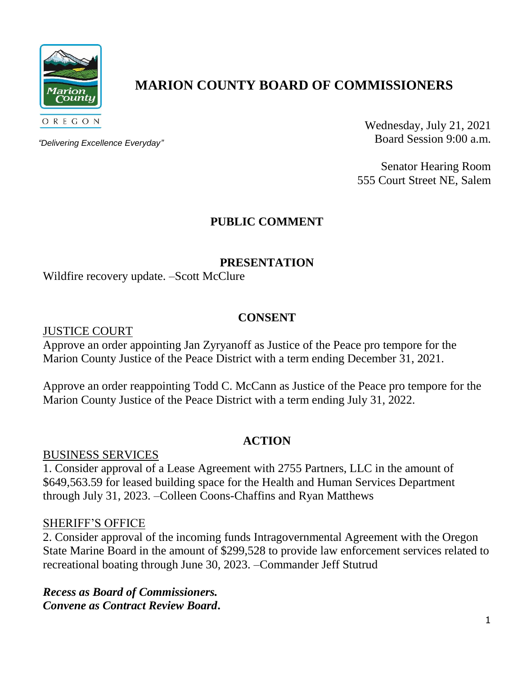

# **MARION COUNTY BOARD OF COMMISSIONERS**

*"Delivering Excellence Everyday"*

Wednesday, July 21, 2021 Board Session 9:00 a.m.

Senator Hearing Room 555 Court Street NE, Salem

## **PUBLIC COMMENT**

#### **PRESENTATION**

Wildfire recovery update. –Scott McClure

#### **CONSENT**

JUSTICE COURT

Approve an order appointing Jan Zyryanoff as Justice of the Peace pro tempore for the Marion County Justice of the Peace District with a term ending December 31, 2021.

Approve an order reappointing Todd C. McCann as Justice of the Peace pro tempore for the Marion County Justice of the Peace District with a term ending July 31, 2022.

#### **ACTION**

BUSINESS SERVICES

1. Consider approval of a Lease Agreement with 2755 Partners, LLC in the amount of \$649,563.59 for leased building space for the Health and Human Services Department through July 31, 2023. –Colleen Coons-Chaffins and Ryan Matthews

#### SHERIFF'S OFFICE

2. Consider approval of the incoming funds Intragovernmental Agreement with the Oregon State Marine Board in the amount of \$299,528 to provide law enforcement services related to recreational boating through June 30, 2023. –Commander Jeff Stutrud

*Recess as Board of Commissioners. Convene as Contract Review Board***.**